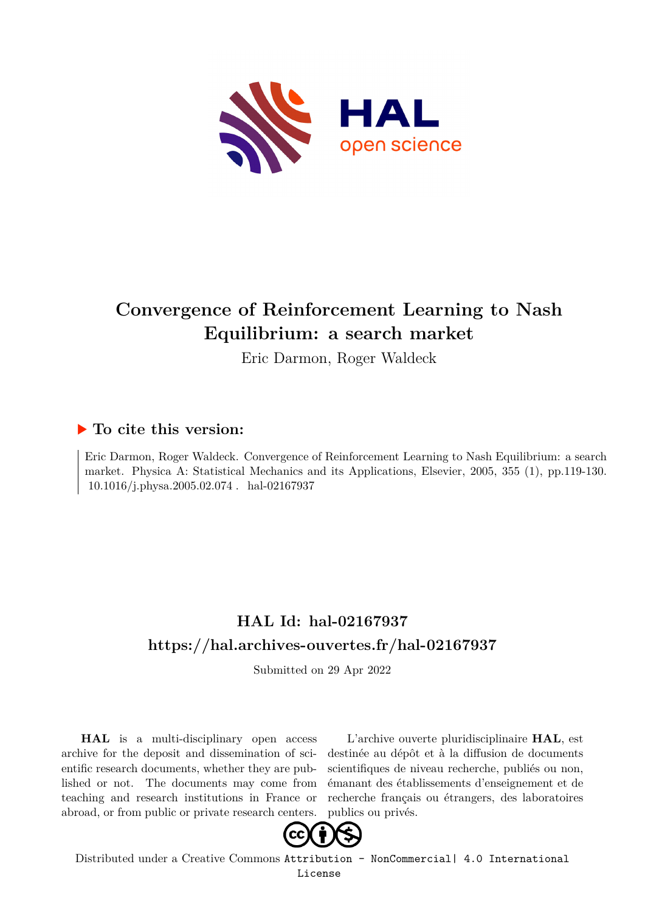

# **Convergence of Reinforcement Learning to Nash Equilibrium: a search market**

Eric Darmon, Roger Waldeck

### **To cite this version:**

Eric Darmon, Roger Waldeck. Convergence of Reinforcement Learning to Nash Equilibrium: a search market. Physica A: Statistical Mechanics and its Applications, Elsevier, 2005, 355 (1), pp.119-130. 10.1016/j.physa.2005.02.074 . hal-02167937

## **HAL Id: hal-02167937 <https://hal.archives-ouvertes.fr/hal-02167937>**

Submitted on 29 Apr 2022

**HAL** is a multi-disciplinary open access archive for the deposit and dissemination of scientific research documents, whether they are published or not. The documents may come from teaching and research institutions in France or abroad, or from public or private research centers.

L'archive ouverte pluridisciplinaire **HAL**, est destinée au dépôt et à la diffusion de documents scientifiques de niveau recherche, publiés ou non, émanant des établissements d'enseignement et de recherche français ou étrangers, des laboratoires publics ou privés.



Distributed under a Creative Commons [Attribution - NonCommercial| 4.0 International](http://creativecommons.org/licenses/by-nc/4.0/) [License](http://creativecommons.org/licenses/by-nc/4.0/)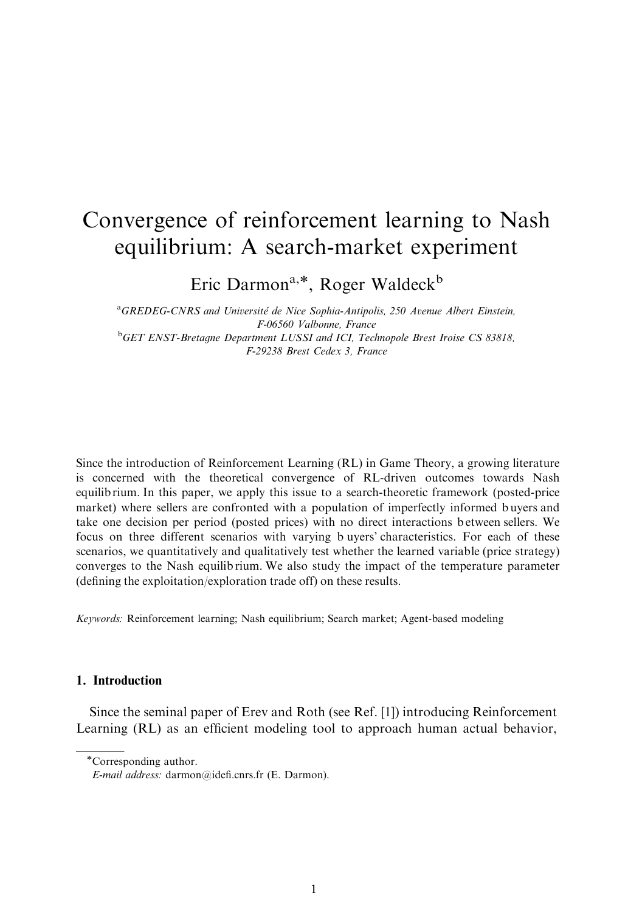### Convergence of reinforcement learning to Nash equilibrium: A search-market experiment

Eric Darmon<sup>a,\*</sup>, Roger Waldeck<sup>b</sup>

<sup>a</sup>*GREDEG-CNRS and Universite´ de Nice Sophia-Antipolis, 250 Avenue Albert Einstein, F-06560 Valbonne, France* <sup>b</sup>*GET ENST-Bretagne Department LUSSI and ICI, Technopole Brest Iroise CS 83818, F-29238 Brest Cedex 3, France*

Since the introduction of Reinforcement Learning (RL) in Game Theory, a growing literature is concerned with the theoretical convergence of RL-driven outcomes towards Nash equilibrium. In this paper, we apply this issue to a search-theoretic framework (posted-price market) where sellers are confronted with a population of imperfectly informed buyers and take one decision per period (posted prices) with no direct interactions between sellers. We focus on three different scenarios with varying buyers' characteristics. For each of these scenarios, we quantitatively and qualitatively test whether the learned variable (price strategy) converges to the Nash equilibrium. We also study the impact of the temperature parameter (defining the exploitation/exploration trade off) on these results.

*Keywords:* Reinforcement learning; Nash equilibrium; Search market; Agent-based modeling

#### 1. Introduction

Since the seminal paper of Erev and Roth (see Ref. [\[1\]\)](#page-11-0) introducing Reinforcement Learning (RL) as an efficient modeling tool to approach human actual behavior,

Corresponding author.

*E-mail address:* darmon@idefi.cnrs.fr (E. Darmon).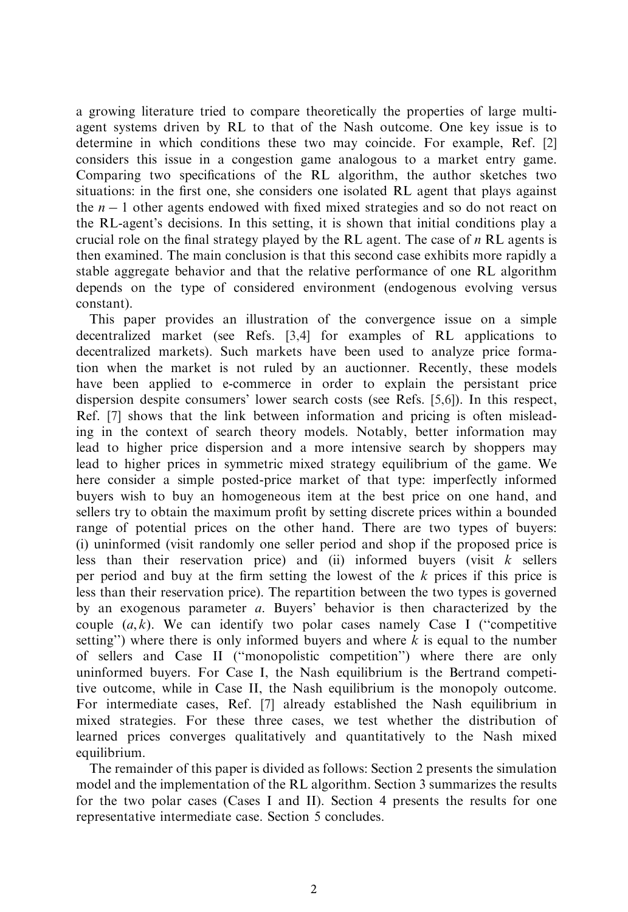a growing literature tried to compare theoretically the properties of large multiagent systems driven by RL to that of the Nash outcome. One key issue is to determine in which conditions these two may coincide. For example, Ref. [\[2\]](#page-11-0) considers this issue in a congestion game analogous to a market entry game. Comparing two specifications of the RL algorithm, the author sketches two situations: in the first one, she considers one isolated RL agent that plays against the  $n-1$  other agents endowed with fixed mixed strategies and so do not react on the RL-agent's decisions. In this setting, it is shown that initial conditions play a crucial role on the final strategy played by the RL agent. The case of *n* RL agents is then examined. The main conclusion is that this second case exhibits more rapidly a stable aggregate behavior and that the relative performance of one RL algorithm depends on the type of considered environment (endogenous evolving versus constant).

This paper provides an illustration of the convergence issue on a simple decentralized market (see Refs. [\[3,4\]](#page-11-0) for examples of RL applications to decentralized markets). Such markets have been used to analyze price formation when the market is not ruled by an auctionner. Recently, these models have been applied to e-commerce in order to explain the persistant price dispersion despite consumers' lower search costs (see Refs. [\[5,6\]](#page-12-0)). In this respect, Ref. [\[7\]](#page-12-0) shows that the link between information and pricing is often misleading in the context of search theory models. Notably, better information may lead to higher price dispersion and a more intensive search by shoppers may lead to higher prices in symmetric mixed strategy equilibrium of the game. We here consider a simple posted-price market of that type: imperfectly informed buyers wish to buy an homogeneous item at the best price on one hand, and sellers try to obtain the maximum profit by setting discrete prices within a bounded range of potential prices on the other hand. There are two types of buyers: (i) uninformed (visit randomly one seller period and shop if the proposed price is less than their reservation price) and (ii) informed buyers (visit *k* sellers per period and buy at the firm setting the lowest of the *k* prices if this price is less than their reservation price). The repartition between the two types is governed by an exogenous parameter *a*. Buyers' behavior is then characterized by the couple  $(a, k)$ . We can identify two polar cases namely Case I ("competitive setting'') where there is only informed buyers and where *k* is equal to the number of sellers and Case II (''monopolistic competition'') where there are only uninformed buyers. For Case I, the Nash equilibrium is the Bertrand competitive outcome, while in Case II, the Nash equilibrium is the monopoly outcome. For intermediate cases, Ref. [\[7\]](#page-12-0) already established the Nash equilibrium in mixed strategies. For these three cases, we test whether the distribution of learned prices converges qualitatively and quantitatively to the Nash mixed equilibrium.

The remainder of this paper is divided as follows: Section 2 presents the simulation model and the implementation of the RL algorithm. Section 3 summarizes the results for the two polar cases (Cases I and II). Section 4 presents the results for one representative intermediate case. Section 5 concludes.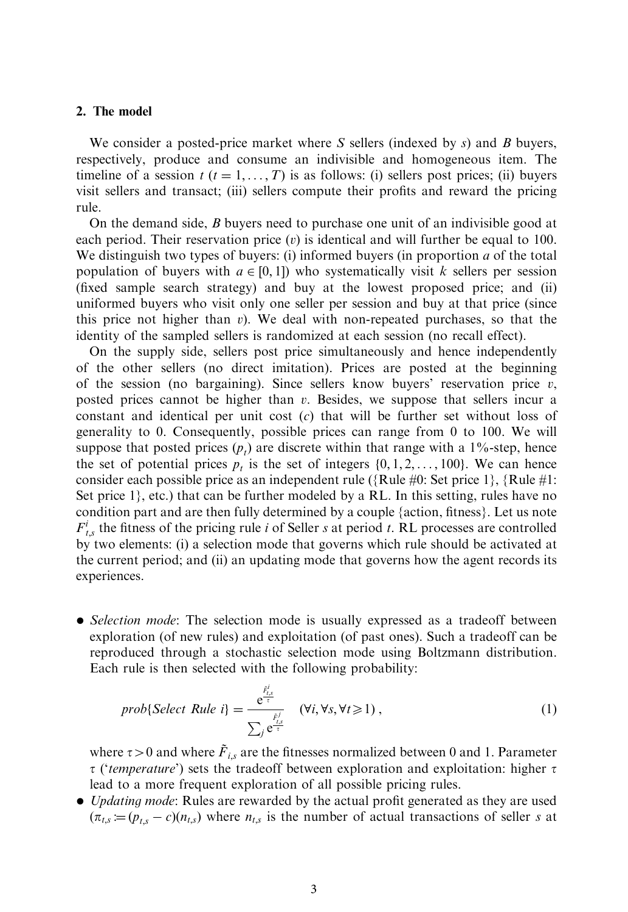#### 2. The model

We consider a posted-price market where *S* sellers (indexed by *s*) and *B* buyers, respectively, produce and consume an indivisible and homogeneous item. The timeline of a session  $t$   $(t = 1, \ldots, T)$  is as follows: (i) sellers post prices; (ii) buyers visit sellers and transact; (iii) sellers compute their profits and reward the pricing rule.

On the demand side, *B* buyers need to purchase one unit of an indivisible good at each period. Their reservation price (*v*) is identical and will further be equal to 100. We distinguish two types of buyers: (i) informed buyers (in proportion *a* of the total population of buyers with  $a \in [0, 1]$  who systematically visit *k* sellers per session (fixed sample search strategy) and buy at the lowest proposed price; and (ii) uniformed buyers who visit only one seller per session and buy at that price (since this price not higher than *v*). We deal with non-repeated purchases, so that the identity of the sampled sellers is randomized at each session (no recall effect).

On the supply side, sellers post price simultaneously and hence independently of the other sellers (no direct imitation). Prices are posted at the beginning of the session (no bargaining). Since sellers know buyers' reservation price  $v$ , posted prices cannot be higher than *v*. Besides, we suppose that sellers incur a constant and identical per unit cost (*c*) that will be further set without loss of generality to 0. Consequently, possible prices can range from 0 to 100. We will suppose that posted prices  $(p_t)$  are discrete within that range with a 1%-step, hence the set of potential prices  $p_t$  is the set of integers  $\{0, 1, 2, \ldots, 100\}$ . We can hence consider each possible price as an independent rule ({Rule #0: Set price 1}, {Rule #1: Set price  $1$ , etc.) that can be further modeled by a RL. In this setting, rules have no condition part and are then fully determined by a couple {action, fitness}. Let us note  $F_{t,s}^i$  the fitness of the pricing rule *i* of Seller *s* at period *t*. RL processes are controlled by two elements: (i) a selection mode that governs which rule should be activated at the current period; and (ii) an updating mode that governs how the agent records its experiences.

 *Selection mode*: The selection mode is usually expressed as a tradeoff between exploration (of new rules) and exploitation (of past ones). Such a tradeoff can be reproduced through a stochastic selection mode using Boltzmann distribution. Each rule is then selected with the following probability:

$$
prob\{Select\ Rule\ i\} = \frac{e^{\frac{P_{i,s}^{i}}{\tau}}}{\sum_{j} e^{\frac{F_{i,s}^{j}}{\tau}}} \quad (\forall i, \forall s, \forall t \geq 1), \tag{1}
$$

where  $\tau > 0$  and where  $\tilde{F}_{i,s}$  are the fitnesses normalized between 0 and 1. Parameter  $\tau$  ('*temperature*') sets the tradeoff between exploration and exploitation: higher  $\tau$ lead to a more frequent exploration of all possible pricing rules.

 *Updating mode*: Rules are rewarded by the actual profit generated as they are used  $(\pi_{t,s} = (p_{t,s} - c)(n_{t,s})$  where  $n_{t,s}$  is the number of actual transactions of seller *s* at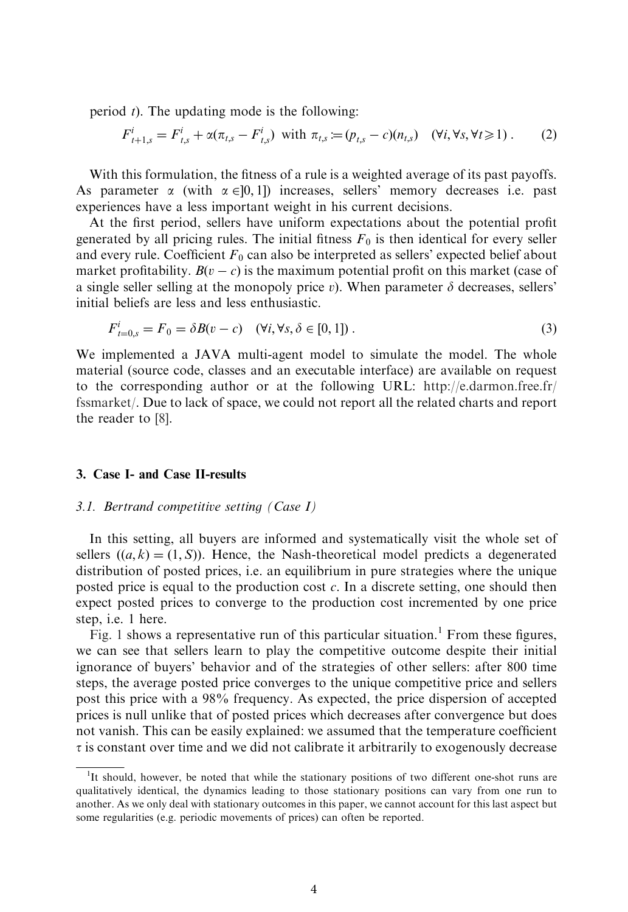period *t*). The updating mode is the following:

$$
F_{t+1,s}^i = F_{t,s}^i + \alpha(\pi_{t,s} - F_{t,s}^i) \text{ with } \pi_{t,s} := (p_{t,s} - c)(n_{t,s}) \quad (\forall i, \forall s, \forall t \ge 1).
$$
 (2)

With this formulation, the fitness of a rule is a weighted average of its past payoffs. As parameter  $\alpha$  (with  $\alpha \in ]0, 1]$ ) increases, sellers' memory decreases i.e. past experiences have a less important weight in his current decisions.

At the first period, sellers have uniform expectations about the potential profit generated by all pricing rules. The initial fitness  $F_0$  is then identical for every seller and every rule. Coefficient  $F_0$  can also be interpreted as sellers' expected belief about market profitability.  $B(v - c)$  is the maximum potential profit on this market (case of a single seller selling at the monopoly price *v*). When parameter  $\delta$  decreases, sellers' initial beliefs are less and less enthusiastic.

$$
F_{t=0,s}^i = F_0 = \delta B(v-c) \quad (\forall i, \forall s, \delta \in [0,1]).
$$
\n(3)

We implemented a JAVA multi-agent model to simulate the model. The whole material (source code, classes and an executable interface) are available on request to the corresponding author or at the following URL: [http://e.darmon.free.fr/](http://e.darmon.free.fr/fssmarket/) [fssmarket/](http://e.darmon.free.fr/fssmarket/). Due to lack of space, we could not report all the related charts and report the reader to [\[8\]](#page-12-0).

#### 3. Case I- and Case II-results

#### *3.1. Bertrand competitive setting (Case I)*

In this setting, all buyers are informed and systematically visit the whole set of sellers  $((a, k) = (1, S)$ . Hence, the Nash-theoretical model predicts a degenerated distribution of posted prices, i.e. an equilibrium in pure strategies where the unique posted price is equal to the production cost *c*. In a discrete setting, one should then expect posted prices to converge to the production cost incremented by one price step, i.e. 1 here.

[Fig. 1](#page-5-0) shows a representative run of this particular situation.<sup>1</sup> From these figures, we can see that sellers learn to play the competitive outcome despite their initial ignorance of buyers' behavior and of the strategies of other sellers: after 800 time steps, the average posted price converges to the unique competitive price and sellers post this price with a 98% frequency. As expected, the price dispersion of accepted prices is null unlike that of posted prices which decreases after convergence but does not vanish. This can be easily explained: we assumed that the temperature coefficient  $\tau$  is constant over time and we did not calibrate it arbitrarily to exogenously decrease

<sup>&</sup>lt;sup>1</sup>It should, however, be noted that while the stationary positions of two different one-shot runs are qualitatively identical, the dynamics leading to those stationary positions can vary from one run to another. As we only deal with stationary outcomes in this paper, we cannot account for this last aspect but some regularities (e.g. periodic movements of prices) can often be reported.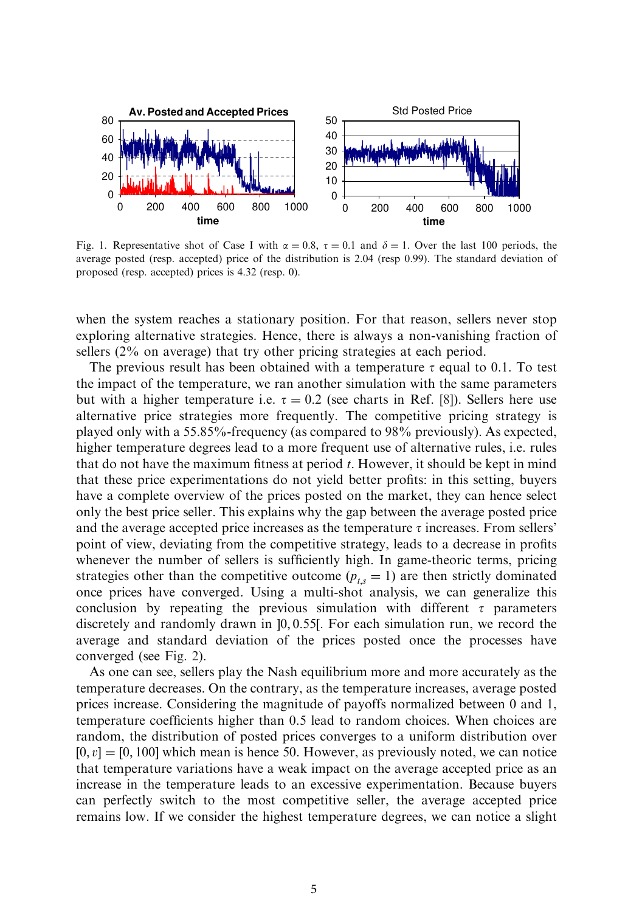<span id="page-5-0"></span>

Fig. 1. Representative shot of Case I with  $\alpha = 0.8$ ,  $\tau = 0.1$  and  $\delta = 1$ . Over the last 100 periods, the average posted (resp. accepted) price of the distribution is 2.04 (resp 0.99). The standard deviation of proposed (resp. accepted) prices is 4.32 (resp. 0).

when the system reaches a stationary position. For that reason, sellers never stop exploring alternative strategies. Hence, there is always a non-vanishing fraction of sellers (2% on average) that try other pricing strategies at each period.

The previous result has been obtained with a temperature  $\tau$  equal to 0.1. To test the impact of the temperature, we ran another simulation with the same parameters but with a higher temperature i.e.  $\tau = 0.2$  (see charts in Ref. [\[8\]](#page-12-0)). Sellers here use alternative price strategies more frequently. The competitive pricing strategy is played only with a 55.85%-frequency (as compared to 98% previously). As expected, higher temperature degrees lead to a more frequent use of alternative rules, i.e. rules that do not have the maximum fitness at period *t*. However, it should be kept in mind that these price experimentations do not yield better profits: in this setting, buyers have a complete overview of the prices posted on the market, they can hence select only the best price seller. This explains why the gap between the average posted price and the average accepted price increases as the temperature  $\tau$  increases. From sellers' point of view, deviating from the competitive strategy, leads to a decrease in profits whenever the number of sellers is sufficiently high. In game-theoric terms, pricing strategies other than the competitive outcome  $(p_{t,s} = 1)$  are then strictly dominated once prices have converged. Using a multi-shot analysis, we can generalize this conclusion by repeating the previous simulation with different  $\tau$  parameters discretely and randomly drawn in  $[0, 0.55]$ . For each simulation run, we record the average and standard deviation of the prices posted once the processes have converged (see [Fig. 2](#page-6-0)).

As one can see, sellers play the Nash equilibrium more and more accurately as the temperature decreases. On the contrary, as the temperature increases, average posted prices increase. Considering the magnitude of payoffs normalized between 0 and 1, temperature coefficients higher than 0.5 lead to random choices. When choices are random, the distribution of posted prices converges to a uniform distribution over  $[0, v] = [0, 100]$  which mean is hence 50. However, as previously noted, we can notice that temperature variations have a weak impact on the average accepted price as an increase in the temperature leads to an excessive experimentation. Because buyers can perfectly switch to the most competitive seller, the average accepted price remains low. If we consider the highest temperature degrees, we can notice a slight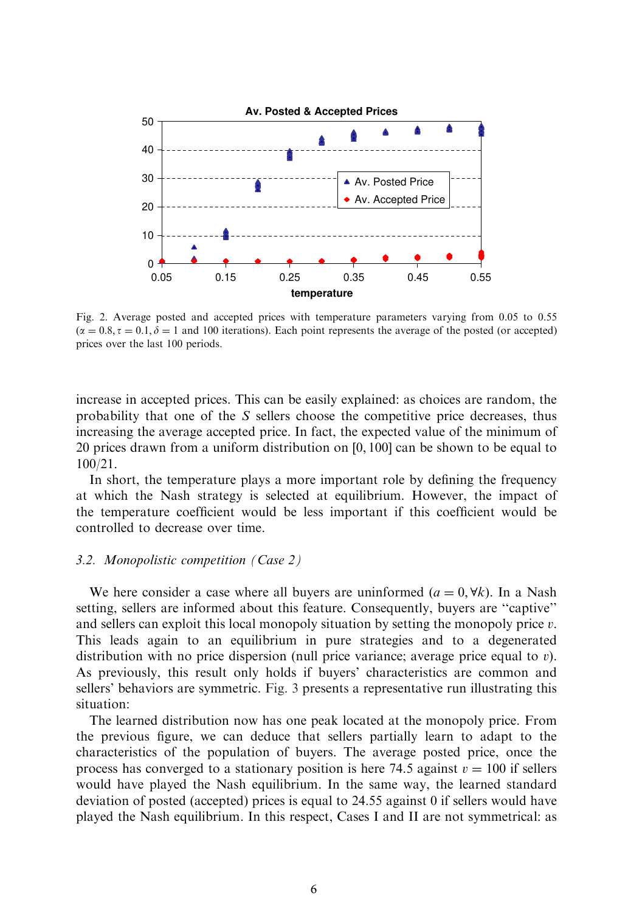<span id="page-6-0"></span>

Fig. 2. Average posted and accepted prices with temperature parameters varying from 0.05 to 0.55  $(\alpha = 0.8, \tau = 0.1, \delta = 1$  and 100 iterations). Each point represents the average of the posted (or accepted) prices over the last 100 periods.

increase in accepted prices. This can be easily explained: as choices are random, the probability that one of the *S* sellers choose the competitive price decreases, thus increasing the average accepted price. In fact, the expected value of the minimum of 20 prices drawn from a uniform distribution on  $[0, 100]$  can be shown to be equal to 100/21.

In short, the temperature plays a more important role by defining the frequency at which the Nash strategy is selected at equilibrium. However, the impact of the temperature coefficient would be less important if this coefficient would be controlled to decrease over time.

#### *3.2. Monopolistic competition (Case 2)*

We here consider a case where all buyers are uninformed  $(a = 0, \forall k)$ . In a Nash setting, sellers are informed about this feature. Consequently, buyers are ''captive'' and sellers can exploit this local monopoly situation by setting the monopoly price *v*. This leads again to an equilibrium in pure strategies and to a degenerated distribution with no price dispersion (null price variance; average price equal to *v*). As previously, this result only holds if buyers' characteristics are common and sellers' behaviors are symmetric. [Fig. 3](#page-7-0) presents a representative run illustrating this situation:

The learned distribution now has one peak located at the monopoly price. From the previous figure, we can deduce that sellers partially learn to adapt to the characteristics of the population of buyers. The average posted price, once the process has converged to a stationary position is here 74.5 against  $v = 100$  if sellers would have played the Nash equilibrium. In the same way, the learned standard deviation of posted (accepted) prices is equal to 24.55 against 0 if sellers would have played the Nash equilibrium. In this respect, Cases I and II are not symmetrical: as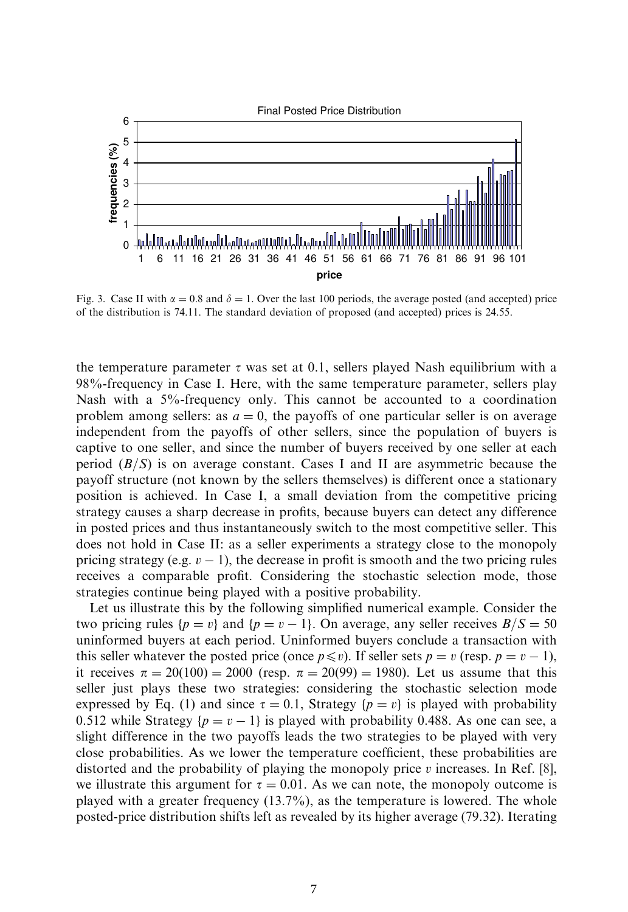<span id="page-7-0"></span>

Fig. 3. Case II with  $\alpha = 0.8$  and  $\delta = 1$ . Over the last 100 periods, the average posted (and accepted) price of the distribution is 74.11. The standard deviation of proposed (and accepted) prices is 24.55.

the temperature parameter  $\tau$  was set at 0.1, sellers played Nash equilibrium with a 98%-frequency in Case I. Here, with the same temperature parameter, sellers play Nash with a 5%-frequency only. This cannot be accounted to a coordination problem among sellers: as  $a = 0$ , the payoffs of one particular seller is on average independent from the payoffs of other sellers, since the population of buyers is captive to one seller, and since the number of buyers received by one seller at each period  $(B/S)$  is on average constant. Cases I and II are asymmetric because the payoff structure (not known by the sellers themselves) is different once a stationary position is achieved. In Case I, a small deviation from the competitive pricing strategy causes a sharp decrease in profits, because buyers can detect any difference in posted prices and thus instantaneously switch to the most competitive seller. This does not hold in Case II: as a seller experiments a strategy close to the monopoly pricing strategy (e.g.  $v - 1$ ), the decrease in profit is smooth and the two pricing rules receives a comparable profit. Considering the stochastic selection mode, those strategies continue being played with a positive probability.

Let us illustrate this by the following simplified numerical example. Consider the two pricing rules  $\{p = v\}$  and  $\{p = v - 1\}$ . On average, any seller receives  $B/S = 50$ uninformed buyers at each period. Uninformed buyers conclude a transaction with this seller whatever the posted price (once  $p \leq v$ ). If seller sets  $p = v$  (resp.  $p = v - 1$ ), it receives  $\pi = 20(100) = 2000$  (resp.  $\pi = 20(99) = 1980$ ). Let us assume that this seller just plays these two strategies: considering the stochastic selection mode expressed by Eq. (1) and since  $\tau = 0.1$ , Strategy  $\{p = v\}$  is played with probability 0.512 while Strategy  $\{p = v - 1\}$  is played with probability 0.488. As one can see, a slight difference in the two payoffs leads the two strategies to be played with very close probabilities. As we lower the temperature coefficient, these probabilities are distorted and the probability of playing the monopoly price *v* increases. In Ref. [\[8\],](#page-12-0) we illustrate this argument for  $\tau = 0.01$ . As we can note, the monopoly outcome is played with a greater frequency (13.7%), as the temperature is lowered. The whole posted-price distribution shifts left as revealed by its higher average (79.32). Iterating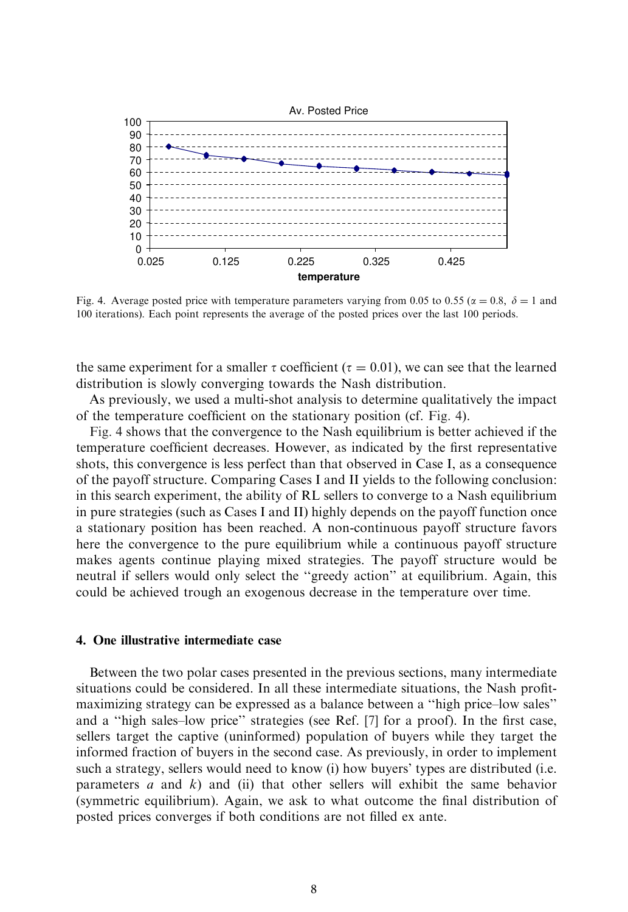

Fig. 4. Average posted price with temperature parameters varying from 0.05 to 0.55 ( $\alpha = 0.8$ ,  $\delta = 1$  and 100 iterations). Each point represents the average of the posted prices over the last 100 periods.

the same experiment for a smaller  $\tau$  coefficient ( $\tau = 0.01$ ), we can see that the learned distribution is slowly converging towards the Nash distribution.

As previously, we used a multi-shot analysis to determine qualitatively the impact of the temperature coefficient on the stationary position (cf. Fig. 4).

Fig. 4 shows that the convergence to the Nash equilibrium is better achieved if the temperature coefficient decreases. However, as indicated by the first representative shots, this convergence is less perfect than that observed in Case I, as a consequence of the payoff structure. Comparing Cases I and II yields to the following conclusion: in this search experiment, the ability of RL sellers to converge to a Nash equilibrium in pure strategies (such as Cases I and II) highly depends on the payoff function once a stationary position has been reached. A non-continuous payoff structure favors here the convergence to the pure equilibrium while a continuous payoff structure makes agents continue playing mixed strategies. The payoff structure would be neutral if sellers would only select the ''greedy action'' at equilibrium. Again, this could be achieved trough an exogenous decrease in the temperature over time.

#### 4. One illustrative intermediate case

Between the two polar cases presented in the previous sections, many intermediate situations could be considered. In all these intermediate situations, the Nash profitmaximizing strategy can be expressed as a balance between a ''high price–low sales'' and a ''high sales–low price'' strategies (see Ref. [\[7\]](#page-12-0) for a proof). In the first case, sellers target the captive (uninformed) population of buyers while they target the informed fraction of buyers in the second case. As previously, in order to implement such a strategy, sellers would need to know (i) how buyers' types are distributed (i.e. parameters *a* and *k*) and (ii) that other sellers will exhibit the same behavior (symmetric equilibrium). Again, we ask to what outcome the final distribution of posted prices converges if both conditions are not filled ex ante.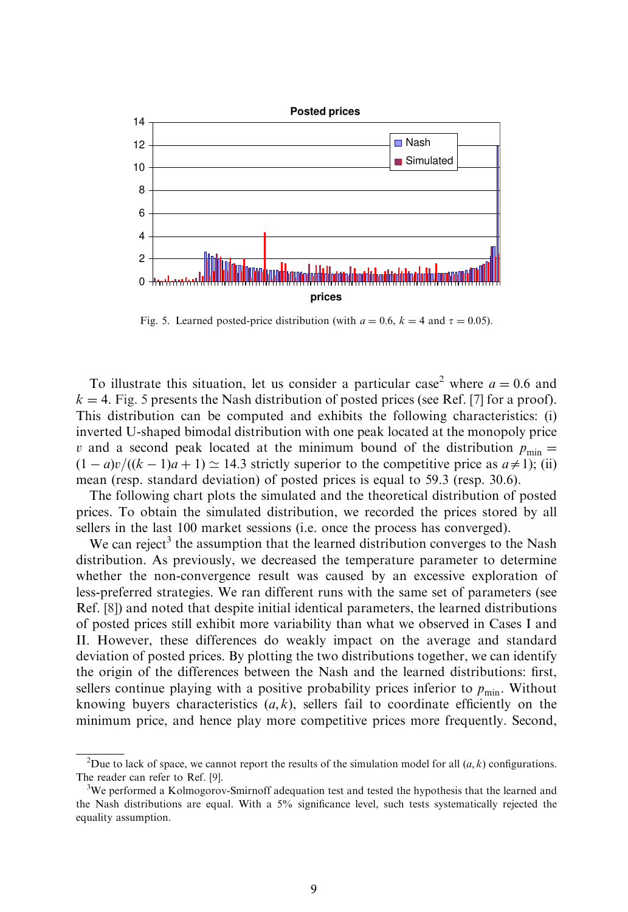

Fig. 5. Learned posted-price distribution (with  $a = 0.6$ ,  $k = 4$  and  $\tau = 0.05$ ).

To illustrate this situation, let us consider a particular case<sup>2</sup> where  $a = 0.6$  and  $k = 4$ . Fig. 5 presents the Nash distribution of posted prices (see Ref. [\[7\]](#page-12-0) for a proof). This distribution can be computed and exhibits the following characteristics: (i) inverted U-shaped bimodal distribution with one peak located at the monopoly price *v* and a second peak located at the minimum bound of the distribution  $p_{\min}$  $(1 - a)v/((k - 1)a + 1) \simeq 14.3$  strictly superior to the competitive price as  $a \neq 1$ ); (ii) mean (resp. standard deviation) of posted prices is equal to 59.3 (resp. 30.6).

The following chart plots the simulated and the theoretical distribution of posted prices. To obtain the simulated distribution, we recorded the prices stored by all sellers in the last 100 market sessions (i.e. once the process has converged).

We can reject<sup>3</sup> the assumption that the learned distribution converges to the Nash distribution. As previously, we decreased the temperature parameter to determine whether the non-convergence result was caused by an excessive exploration of less-preferred strategies. We ran different runs with the same set of parameters (see Ref. [\[8\]\)](#page-12-0) and noted that despite initial identical parameters, the learned distributions of posted prices still exhibit more variability than what we observed in Cases I and II. However, these differences do weakly impact on the average and standard deviation of posted prices. By plotting the two distributions together, we can identify the origin of the differences between the Nash and the learned distributions: first, sellers continue playing with a positive probability prices inferior to  $p_{\text{min}}$ . Without knowing buyers characteristics  $(a, k)$ , sellers fail to coordinate efficiently on the minimum price, and hence play more competitive prices more frequently. Second,

<sup>&</sup>lt;sup>2</sup>Due to lack of space, we cannot report the results of the simulation model for all  $(a, k)$  configurations. The reader can refer to Ref. [\[9\].](#page-12-0)

<sup>&</sup>lt;sup>3</sup>We performed a Kolmogorov-Smirnoff adequation test and tested the hypothesis that the learned and the Nash distributions are equal. With a 5% significance level, such tests systematically rejected the equality assumption.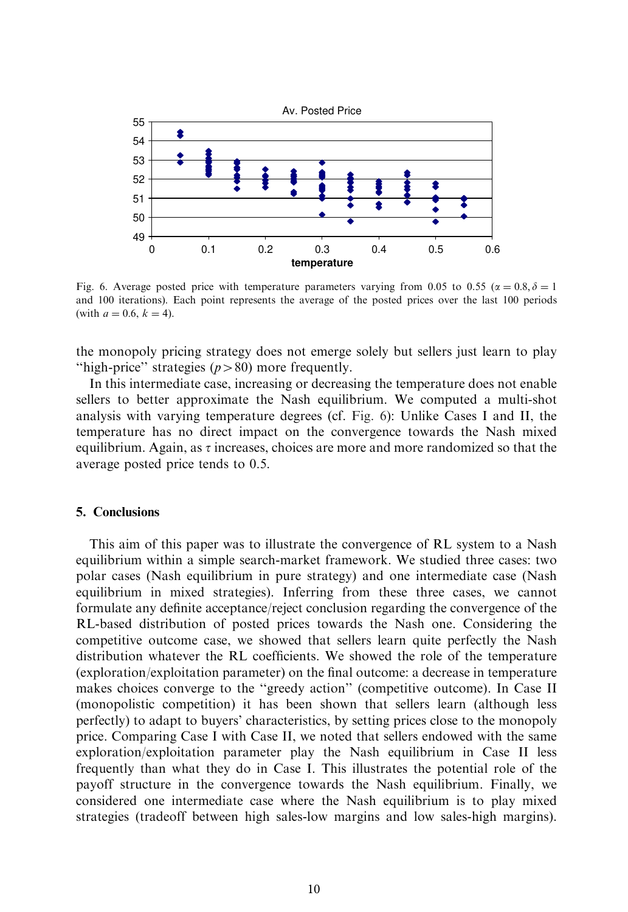

Fig. 6. Average posted price with temperature parameters varying from 0.05 to 0.55 ( $\alpha = 0.8$ ,  $\delta = 1$ ) and 100 iterations). Each point represents the average of the posted prices over the last 100 periods (with  $a = 0.6, k = 4$ ).

the monopoly pricing strategy does not emerge solely but sellers just learn to play "high-price" strategies  $(p>80)$  more frequently.

In this intermediate case, increasing or decreasing the temperature does not enable sellers to better approximate the Nash equilibrium. We computed a multi-shot analysis with varying temperature degrees (cf. Fig. 6): Unlike Cases I and II, the temperature has no direct impact on the convergence towards the Nash mixed equilibrium. Again, as  $\tau$  increases, choices are more and more randomized so that the average posted price tends to 0.5.

#### 5. Conclusions

This aim of this paper was to illustrate the convergence of RL system to a Nash equilibrium within a simple search-market framework. We studied three cases: two polar cases (Nash equilibrium in pure strategy) and one intermediate case (Nash equilibrium in mixed strategies). Inferring from these three cases, we cannot formulate any definite acceptance/reject conclusion regarding the convergence of the RL-based distribution of posted prices towards the Nash one. Considering the competitive outcome case, we showed that sellers learn quite perfectly the Nash distribution whatever the RL coefficients. We showed the role of the temperature (exploration/exploitation parameter) on the final outcome: a decrease in temperature makes choices converge to the ''greedy action'' (competitive outcome). In Case II (monopolistic competition) it has been shown that sellers learn (although less perfectly) to adapt to buyers' characteristics, by setting prices close to the monopoly price. Comparing Case I with Case II, we noted that sellers endowed with the same exploration/exploitation parameter play the Nash equilibrium in Case II less frequently than what they do in Case I. This illustrates the potential role of the payoff structure in the convergence towards the Nash equilibrium. Finally, we considered one intermediate case where the Nash equilibrium is to play mixed strategies (tradeoff between high sales-low margins and low sales-high margins).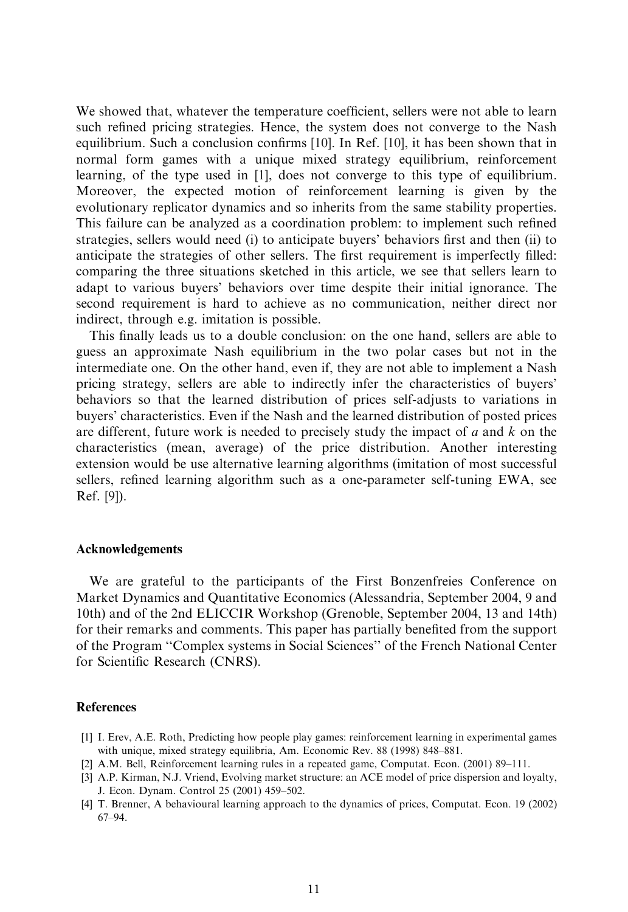<span id="page-11-0"></span>We showed that, whatever the temperature coefficient, sellers were not able to learn such refined pricing strategies. Hence, the system does not converge to the Nash equilibrium. Such a conclusion confirms [\[10\]](#page-12-0). In Ref. [\[10\],](#page-12-0) it has been shown that in normal form games with a unique mixed strategy equilibrium, reinforcement learning, of the type used in [1], does not converge to this type of equilibrium. Moreover, the expected motion of reinforcement learning is given by the evolutionary replicator dynamics and so inherits from the same stability properties. This failure can be analyzed as a coordination problem: to implement such refined strategies, sellers would need (i) to anticipate buyers' behaviors first and then (ii) to anticipate the strategies of other sellers. The first requirement is imperfectly filled: comparing the three situations sketched in this article, we see that sellers learn to adapt to various buyers' behaviors over time despite their initial ignorance. The second requirement is hard to achieve as no communication, neither direct nor indirect, through e.g. imitation is possible.

This finally leads us to a double conclusion: on the one hand, sellers are able to guess an approximate Nash equilibrium in the two polar cases but not in the intermediate one. On the other hand, even if, they are not able to implement a Nash pricing strategy, sellers are able to indirectly infer the characteristics of buyers' behaviors so that the learned distribution of prices self-adjusts to variations in buyers' characteristics. Even if the Nash and the learned distribution of posted prices are different, future work is needed to precisely study the impact of *a* and *k* on the characteristics (mean, average) of the price distribution. Another interesting extension would be use alternative learning algorithms (imitation of most successful sellers, refined learning algorithm such as a one-parameter self-tuning EWA, see Ref. [\[9\]](#page-12-0)).

#### Acknowledgements

We are grateful to the participants of the First Bonzenfreies Conference on Market Dynamics and Quantitative Economics (Alessandria, September 2004, 9 and 10th) and of the 2nd ELICCIR Workshop (Grenoble, September 2004, 13 and 14th) for their remarks and comments. This paper has partially benefited from the support of the Program ''Complex systems in Social Sciences'' of the French National Center for Scientific Research (CNRS).

#### References

- [1] I. Erev, A.E. Roth, Predicting how people play games: reinforcement learning in experimental games with unique, mixed strategy equilibria, Am. Economic Rev. 88 (1998) 848–881.
- [2] A.M. Bell, Reinforcement learning rules in a repeated game, Computat. Econ. (2001) 89–111.
- [3] A.P. Kirman, N.J. Vriend, Evolving market structure: an ACE model of price dispersion and loyalty, J. Econ. Dynam. Control 25 (2001) 459–502.
- [4] T. Brenner, A behavioural learning approach to the dynamics of prices, Computat. Econ. 19 (2002) 67–94.